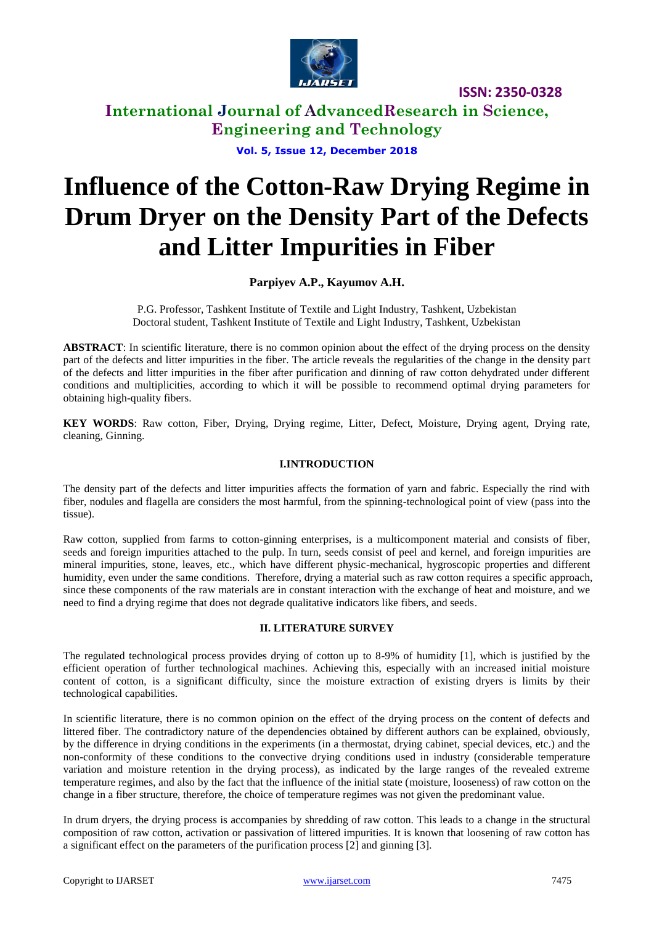

**International Journal of AdvancedResearch in Science, Engineering and Technology**

**Vol. 5, Issue 12, December 2018**

# **Influence of the Cotton-Raw Drying Regime in Drum Dryer on the Density Part of the Defects and Litter Impurities in Fiber**

#### **Parpiyev A.P., Kayumov A.H.**

P.G. Professor, Tashkent Institute of Textile and Light Industry, Tashkent, Uzbekistan Doctoral student, Tashkent Institute of Textile and Light Industry, Tashkent, Uzbekistan

**ABSTRACT**: In scientific literature, there is no common opinion about the effect of the drying process on the density part of the defects and litter impurities in the fiber. The article reveals the regularities of the change in the density part of the defects and litter impurities in the fiber after purification and dinning of raw cotton dehydrated under different conditions and multiplicities, according to which it will be possible to recommend optimal drying parameters for obtaining high-quality fibers.

**KEY WORDS**: Raw cotton, Fiber, Drying, Drying regime, Litter, Defect, Moisture, Drying agent, Drying rate, cleaning, Ginning.

#### **I.INTRODUCTION**

The density part of the defects and litter impurities affects the formation of yarn and fabric. Especially the rind with fiber, nodules and flagella are considers the most harmful, from the spinning-technological point of view (pass into the tissue).

Raw cotton, supplied from farms to cotton-ginning enterprises, is a multicomponent material and consists of fiber, seeds and foreign impurities attached to the pulp. In turn, seeds consist of peel and kernel, and foreign impurities are mineral impurities, stone, leaves, etc., which have different physic-mechanical, hygroscopic properties and different humidity, even under the same conditions. Therefore, drying a material such as raw cotton requires a specific approach, since these components of the raw materials are in constant interaction with the exchange of heat and moisture, and we need to find a drying regime that does not degrade qualitative indicators like fibers, and seeds.

#### **II. LITERATURE SURVEY**

The regulated technological process provides drying of cotton up to 8-9% of humidity [1], which is justified by the efficient operation of further technological machines. Achieving this, especially with an increased initial moisture content of cotton, is a significant difficulty, since the moisture extraction of existing dryers is limits by their technological capabilities.

In scientific literature, there is no common opinion on the effect of the drying process on the content of defects and littered fiber. The contradictory nature of the dependencies obtained by different authors can be explained, obviously, by the difference in drying conditions in the experiments (in a thermostat, drying cabinet, special devices, etc.) and the non-conformity of these conditions to the convective drying conditions used in industry (considerable temperature variation and moisture retention in the drying process), as indicated by the large ranges of the revealed extreme temperature regimes, and also by the fact that the influence of the initial state (moisture, looseness) of raw cotton on the change in a fiber structure, therefore, the choice of temperature regimes was not given the predominant value.

In drum dryers, the drying process is accompanies by shredding of raw cotton. This leads to a change in the structural composition of raw cotton, activation or passivation of littered impurities. It is known that loosening of raw cotton has a significant effect on the parameters of the purification process [2] and ginning [3].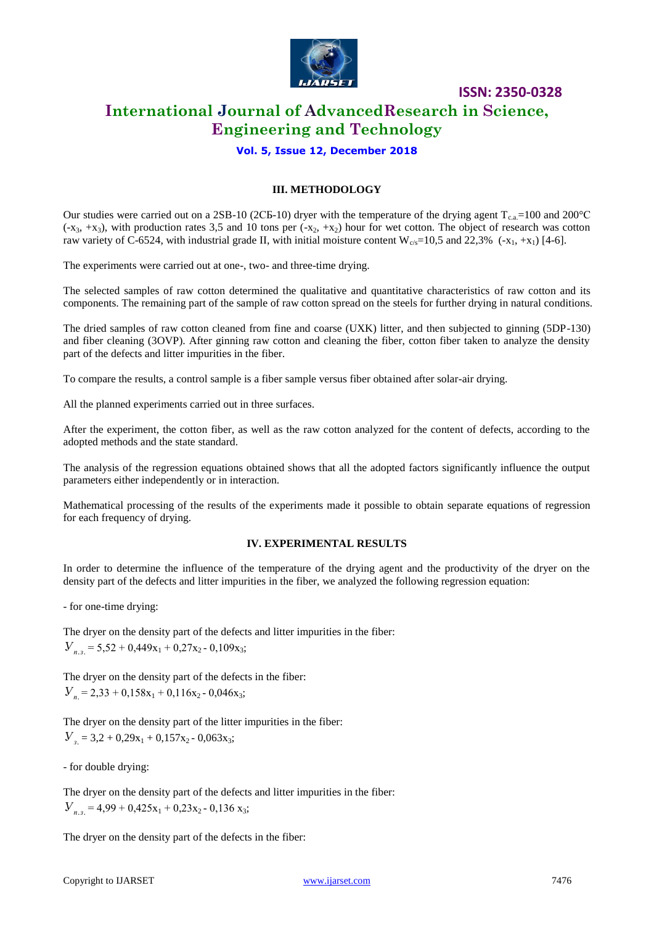

### **International Journal of AdvancedResearch in Science, Engineering and Technology**

#### **Vol. 5, Issue 12, December 2018**

#### **III. METHODOLOGY**

Our studies were carried out on a 2SB-10 (2CБ-10) dryer with the temperature of the drying agent  $T_{c.a}$ =100 and 200°C  $(-x_3, +x_3)$ , with production rates 3,5 and 10 tons per  $(-x_2, +x_2)$  hour for wet cotton. The object of research was cotton raw variety of C-6524, with industrial grade II, with initial moisture content  $W_{c/s}=10,5$  and 22,3% (-x<sub>1</sub>, +x<sub>1</sub>) [4-6].

The experiments were carried out at one-, two- and three-time drying.

The selected samples of raw cotton determined the qualitative and quantitative characteristics of raw cotton and its components. The remaining part of the sample of raw cotton spread on the steels for further drying in natural conditions.

The dried samples of raw cotton cleaned from fine and coarse (UXK) litter, and then subjected to ginning (5DP-130) and fiber cleaning (3OVP). After ginning raw cotton and cleaning the fiber, cotton fiber taken to analyze the density part of the defects and litter impurities in the fiber.

To compare the results, a control sample is a fiber sample versus fiber obtained after solar-air drying.

All the planned experiments carried out in three surfaces.

After the experiment, the cotton fiber, as well as the raw cotton analyzed for the content of defects, according to the adopted methods and the state standard.

The analysis of the regression equations obtained shows that all the adopted factors significantly influence the output parameters either independently or in interaction.

Mathematical processing of the results of the experiments made it possible to obtain separate equations of regression for each frequency of drying.

#### **IV. EXPERIMENTAL RESULTS**

In order to determine the influence of the temperature of the drying agent and the productivity of the dryer on the density part of the defects and litter impurities in the fiber, we analyzed the following regression equation:

- for one-time drying:

The dryer on the density part of the defects and litter impurities in the fiber:  $V_{n_2}$  = 5,52 + 0,449x<sub>1</sub> + 0,27x<sub>2</sub> - 0,109x<sub>3</sub>;

The dryer on the density part of the defects in the fiber:  $V<sub>n</sub> = 2,33 + 0,158x<sub>1</sub> + 0,116x<sub>2</sub> - 0,046x<sub>3</sub>;$ 

The dryer on the density part of the litter impurities in the fiber:  $V_{3} = 3.2 + 0.29x_1 + 0.157x_2 - 0.063x_3;$ 

- for double drying:

The dryer on the density part of the defects and litter impurities in the fiber:  $V_{n,3} = 4.99 + 0.425x_1 + 0.23x_2 - 0.136x_3;$ 

The dryer on the density part of the defects in the fiber: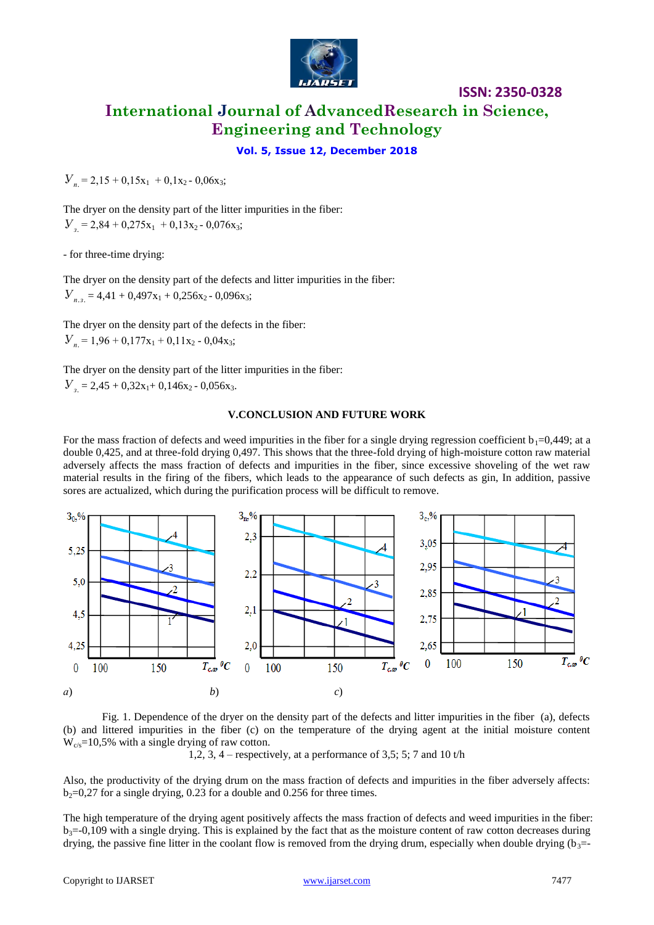

**ISSN: 2350-0328 International Journal of AdvancedResearch in Science, Engineering and Technology**

#### **Vol. 5, Issue 12, December 2018**

The dryer on the density part of the litter impurities in the fiber:  $V_a = 2,84 + 0,275x_1 + 0,13x_2 - 0,076x_3;$ 

- for three-time drying:

The dryer on the density part of the defects and litter impurities in the fiber:  $V_{n_{1}} = 4,41 + 0,497x_{1} + 0,256x_{2} - 0,096x_{3};$ 

The dryer on the density part of the defects in the fiber:  $V_{n} = 1,96 + 0,177x_{1} + 0,11x_{2} - 0,04x_{3};$ 

The dryer on the density part of the litter impurities in the fiber:  $V_a = 2,45 + 0,32x_1+ 0,146x_2 - 0,056x_3.$ 

#### **V.CONCLUSION AND FUTURE WORK**

For the mass fraction of defects and weed impurities in the fiber for a single drying regression coefficient  $b_1=0,449$ ; at a double 0,425, and at three-fold drying 0,497. This shows that the three-fold drying of high-moisture cotton raw material adversely affects the mass fraction of defects and impurities in the fiber, since excessive shoveling of the wet raw material results in the firing of the fibers, which leads to the appearance of such defects as gin, In addition, passive sores are actualized, which during the purification process will be difficult to remove.



Fig. 1. Dependence of the dryer on the density part of the defects and litter impurities in the fiber (a), defects (b) and littered impurities in the fiber (c) on the temperature of the drying agent at the initial moisture content  $W_{\rm c/s}$ =10,5% with a single drying of raw cotton.

1,2, 3, 4 – respectively, at a performance of 3,5; 5; 7 and 10  $t/h$ 

Also, the productivity of the drying drum on the mass fraction of defects and impurities in the fiber adversely affects:  $b_2=0.27$  for a single drying, 0.23 for a double and 0.256 for three times.

The high temperature of the drying agent positively affects the mass fraction of defects and weed impurities in the fiber:  $b_3 = 0.109$  with a single drying. This is explained by the fact that as the moisture content of raw cotton decreases during drying, the passive fine litter in the coolant flow is removed from the drying drum, especially when double drying  $(b_3=$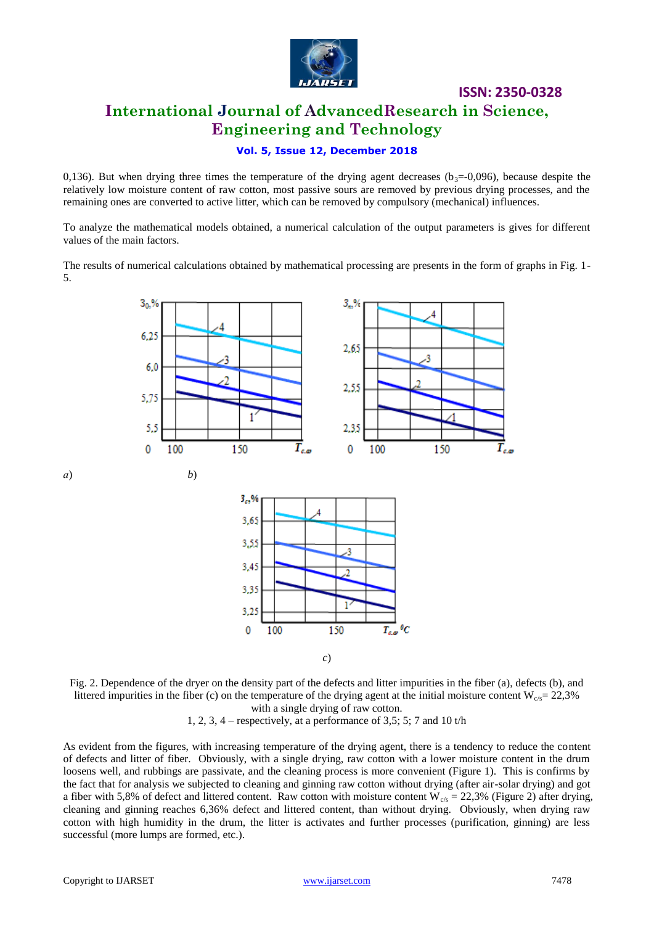

# **ISSN: 2350-0328 International Journal of AdvancedResearch in Science, Engineering and Technology**

#### **Vol. 5, Issue 12, December 2018**

0,136). But when drying three times the temperature of the drying agent decreases ( $b_3=0.096$ ), because despite the relatively low moisture content of raw cotton, most passive sours are removed by previous drying processes, and the remaining ones are converted to active litter, which can be removed by compulsory (mechanical) influences.

To analyze the mathematical models obtained, a numerical calculation of the output parameters is gives for different values of the main factors.

The results of numerical calculations obtained by mathematical processing are presents in the form of graphs in Fig. 1- 5.



Fig. 2. Dependence of the dryer on the density part of the defects and litter impurities in the fiber (a), defects (b), and littered impurities in the fiber (c) on the temperature of the drying agent at the initial moisture content  $W_{c/s} = 22,3\%$ with a single drying of raw cotton.

1, 2, 3, 4 – respectively, at a performance of 3,5; 5; 7 and 10 t/h

As evident from the figures, with increasing temperature of the drying agent, there is a tendency to reduce the content of defects and litter of fiber. Obviously, with a single drying, raw cotton with a lower moisture content in the drum loosens well, and rubbings are passivate, and the cleaning process is more convenient (Figure 1). This is confirms by the fact that for analysis we subjected to cleaning and ginning raw cotton without drying (after air-solar drying) and got a fiber with 5,8% of defect and littered content. Raw cotton with moisture content  $W_{c/s} = 22,3\%$  (Figure 2) after drying, cleaning and ginning reaches 6,36% defect and littered content, than without drying. Obviously, when drying raw cotton with high humidity in the drum, the litter is activates and further processes (purification, ginning) are less successful (more lumps are formed, etc.).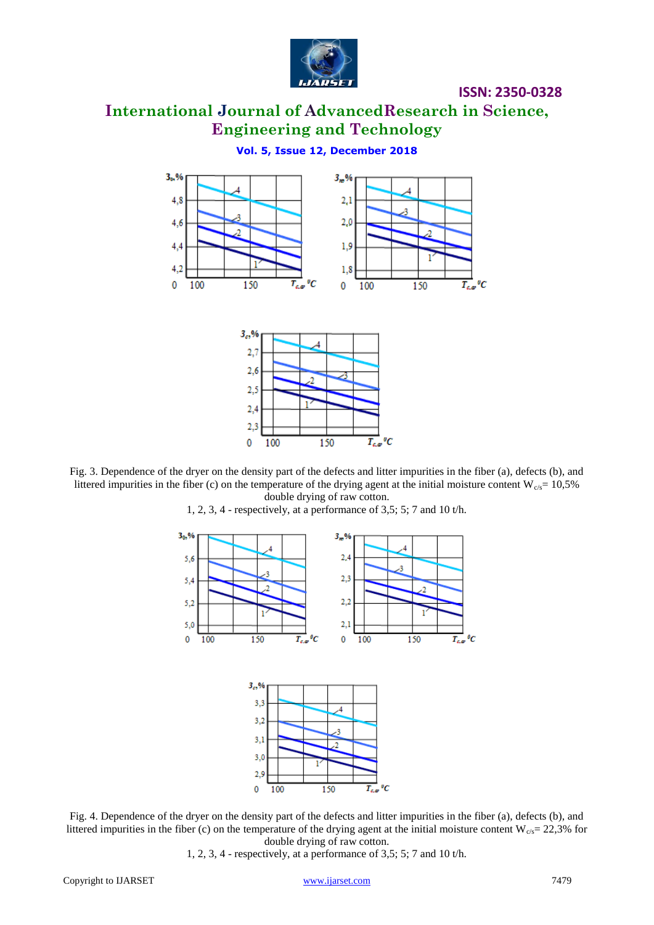

# **International Journal of AdvancedResearch in Science, Engineering and Technology**

**Vol. 5, Issue 12, December 2018**





Fig. 3. Dependence of the dryer on the density part of the defects and litter impurities in the fiber (a), defects (b), and littered impurities in the fiber (c) on the temperature of the drying agent at the initial moisture content  $W_{c/s}$ = 10,5% double drying of raw cotton.



1, 2, 3, 4 - respectively, at a performance of 3,5; 5; 7 and 10 t/h.



Fig. 4. Dependence of the dryer on the density part of the defects and litter impurities in the fiber (a), defects (b), and littered impurities in the fiber (c) on the temperature of the drying agent at the initial moisture content  $W_{c/s}$  = 22,3% for double drying of raw cotton.

1, 2, 3, 4 - respectively, at a performance of 3,5; 5; 7 and 10 t/h.